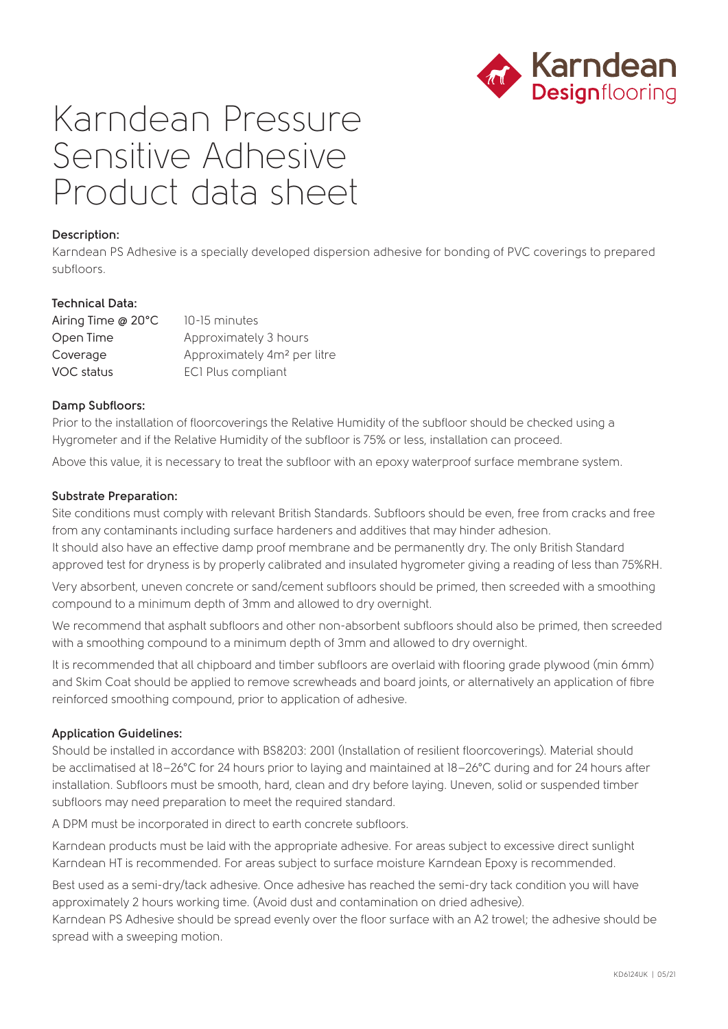

# Karndean Pressure Sensitive Adhesive Product data sheet

## **Description:**

Karndean PS Adhesive is a specially developed dispersion adhesive for bonding of PVC coverings to prepared subfloors.

# **Technical Data:**

| Airing Time @ 20°C | 10-15 minutes                           |
|--------------------|-----------------------------------------|
| Open Time          | Approximately 3 hours                   |
| Coverage           | Approximately 4m <sup>2</sup> per litre |
| VOC status         | ECI Plus compliant                      |

#### **Damp Subfloors:**

Prior to the installation of floorcoverings the Relative Humidity of the subfloor should be checked using a Hygrometer and if the Relative Humidity of the subfloor is 75% or less, installation can proceed.

Above this value, it is necessary to treat the subfloor with an epoxy waterproof surface membrane system.

#### **Substrate Preparation:**

Site conditions must comply with relevant British Standards. Subfloors should be even, free from cracks and free from any contaminants including surface hardeners and additives that may hinder adhesion. It should also have an effective damp proof membrane and be permanently dry. The only British Standard approved test for dryness is by properly calibrated and insulated hygrometer giving a reading of less than 75%RH.

Very absorbent, uneven concrete or sand/cement subfloors should be primed, then screeded with a smoothing compound to a minimum depth of 3mm and allowed to dry overnight.

We recommend that asphalt subfloors and other non-absorbent subfloors should also be primed, then screeded with a smoothing compound to a minimum depth of 3mm and allowed to dry overnight.

It is recommended that all chipboard and timber subfloors are overlaid with flooring grade plywood (min 6mm) and Skim Coat should be applied to remove screwheads and board joints, or alternatively an application of fibre reinforced smoothing compound, prior to application of adhesive.

#### **Application Guidelines:**

Should be installed in accordance with BS8203: 2001 (Installation of resilient floorcoverings). Material should be acclimatised at 18–26°C for 24 hours prior to laying and maintained at 18–26°C during and for 24 hours after installation. Subfloors must be smooth, hard, clean and dry before laying. Uneven, solid or suspended timber subfloors may need preparation to meet the required standard.

A DPM must be incorporated in direct to earth concrete subfloors.

Karndean products must be laid with the appropriate adhesive. For areas subject to excessive direct sunlight Karndean HT is recommended. For areas subject to surface moisture Karndean Epoxy is recommended.

Best used as a semi-dry/tack adhesive. Once adhesive has reached the semi-dry tack condition you will have approximately 2 hours working time. (Avoid dust and contamination on dried adhesive).

Karndean PS Adhesive should be spread evenly over the floor surface with an A2 trowel; the adhesive should be spread with a sweeping motion.